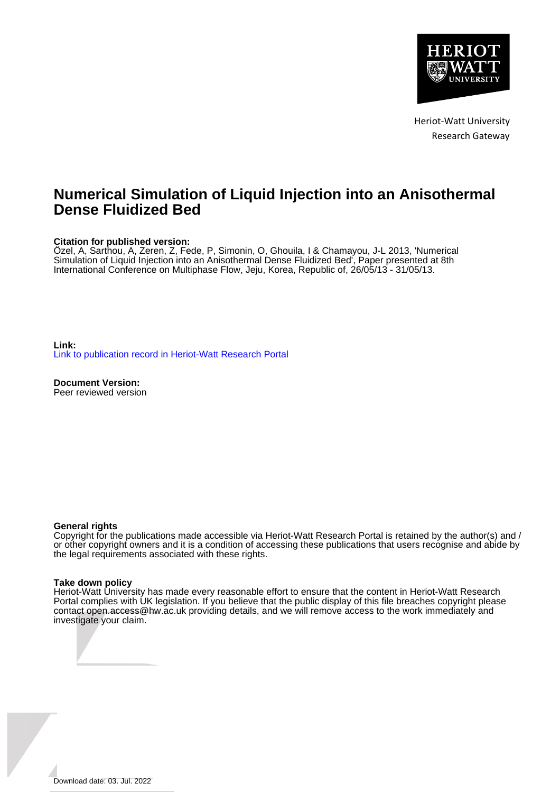

Heriot-Watt University Research Gateway

# **Numerical Simulation of Liquid Injection into an Anisothermal Dense Fluidized Bed**

## **Citation for published version:**

Özel, A, Sarthou, A, Zeren, Z, Fede, P, Simonin, O, Ghouila, I & Chamayou, J-L 2013, 'Numerical Simulation of Liquid Injection into an Anisothermal Dense Fluidized Bed', Paper presented at 8th International Conference on Multiphase Flow, Jeju, Korea, Republic of, 26/05/13 - 31/05/13.

**Link:** [Link to publication record in Heriot-Watt Research Portal](https://researchportal.hw.ac.uk/en/publications/e0097349-63dc-4bf2-925e-5155513448c8)

**Document Version:** Peer reviewed version

#### **General rights**

Copyright for the publications made accessible via Heriot-Watt Research Portal is retained by the author(s) and / or other copyright owners and it is a condition of accessing these publications that users recognise and abide by the legal requirements associated with these rights.

#### **Take down policy**

Heriot-Watt University has made every reasonable effort to ensure that the content in Heriot-Watt Research Portal complies with UK legislation. If you believe that the public display of this file breaches copyright please contact open.access@hw.ac.uk providing details, and we will remove access to the work immediately and investigate your claim.



Download date: 03. Jul. 2022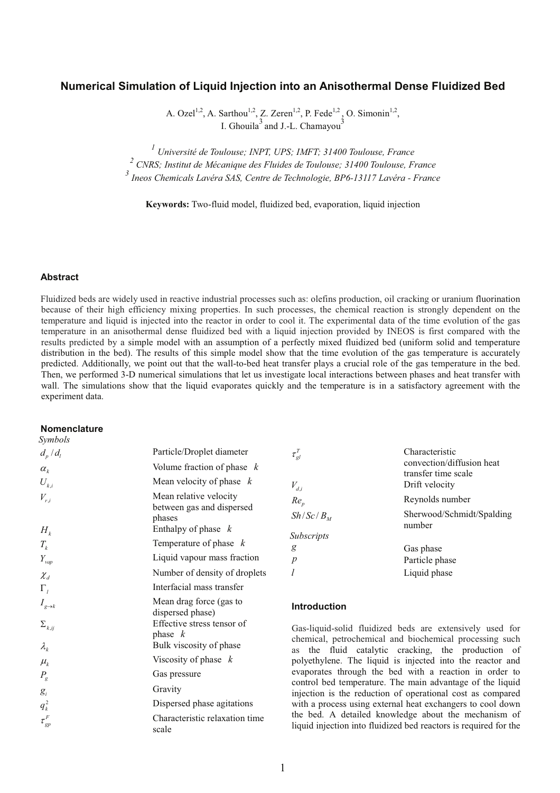## Numerical Simulation of Liquid Injection into an Anisothermal Dense Fluidized Bed

A. Ozel<sup>1,2</sup>, A. Sarthou<sup>1,2</sup>, Z. Zeren<sup>1,2</sup>, P. Fede<sup>1,2</sup>, O. Simonin<sup>1,2</sup>,<br>I. Ghouila<sup>3</sup> and J.-L. Chamayou<sup>3</sup>

<sup>1</sup> Université de Toulouse; INPT, UPS; IMFT; 31400 Toulouse, France <sup>2</sup> CNRS: Institut de Mécanique des Fluides de Toulouse: 31400 Toulouse, France <sup>3</sup> Ineos Chemicals Lavéra SAS. Centre de Technologie. BP6-13117 Lavéra - France

Keywords: Two-fluid model, fluidized bed, evaporation, liquid injection

#### **Abstract**

Fluidized beds are widely used in reactive industrial processes such as: olefins production, oil cracking or uranium fluorination because of their high efficiency mixing properties. In such processes, the chemical reaction is strongly dependent on the temperature and liquid is injected into the reactor in order to cool it. The experimental data of the time evolution of the gas temperature in an anisothermal dense fluidized bed with a liquid injection provided by INEOS is first compared with the results predicted by a simple model with an assumption of a perfectly mixed fluidized bed (uniform solid and temperature distribution in the bed). The results of this simple model show that the time evolution of the gas temperature is accurately predicted. Additionally, we point out that the wall-to-bed heat transfer plays a crucial role of the gas temperature in the bed. Then, we performed 3-D numerical simulations that let us investigate local interactions between phases and heat transfer with wall. The simulations show that the liquid evaporates quickly and the temperature is in a satisfactory agreement with the experiment data.

### **Nomenclature**

| Symbols                         |                                             |                                                                                                                                                                                                                                           |
|---------------------------------|---------------------------------------------|-------------------------------------------------------------------------------------------------------------------------------------------------------------------------------------------------------------------------------------------|
| $d_p/d_l$                       | Particle/Droplet diameter                   | Characteristic<br>$\tau_{gl}^T$                                                                                                                                                                                                           |
| $\alpha_{\scriptscriptstyle k}$ | Volume fraction of phase $k$                | convection/diffusion heat<br>transfer time scale                                                                                                                                                                                          |
| $U_{k,i}$                       | Mean velocity of phase $k$                  | Drift velocity<br>$V_{d,i}$                                                                                                                                                                                                               |
| $V_{r,i}$                       | Mean relative velocity                      | Reynolds number<br>$Re_p$                                                                                                                                                                                                                 |
|                                 | between gas and dispersed<br>phases         | Sherwood/Schmidt/Spalding<br>$Sh/Sc/B_{\scriptscriptstyle M}$                                                                                                                                                                             |
| $H_k$                           | Enthalpy of phase $k$                       | number<br>Subscripts                                                                                                                                                                                                                      |
| $T_{k}$                         | Temperature of phase $k$                    | g<br>Gas phase                                                                                                                                                                                                                            |
| $Y_{vap}$                       | Liquid vapour mass fraction                 | $\boldsymbol{p}$<br>Particle phase                                                                                                                                                                                                        |
| $\chi_{_d}$                     | Number of density of droplets               | Liquid phase                                                                                                                                                                                                                              |
| $\Gamma_i$                      | Interfacial mass transfer                   |                                                                                                                                                                                                                                           |
| $I_{g \to k}$                   | Mean drag force (gas to<br>dispersed phase) | Introduction                                                                                                                                                                                                                              |
| $\boldsymbol{\Sigma}_{k,ij}$    | Effective stress tensor of<br>phase $k$     | Gas-liquid-solid fluidized beds are extensively used for<br>chemical, petrochemical and biochemical processing such<br>the fluid catalytic cracking, the production of<br>as<br>polyethylene. The liquid is injected into the reactor and |
| $\lambda_{k}$                   | Bulk viscosity of phase                     |                                                                                                                                                                                                                                           |
| $\mu_{\scriptscriptstyle k}$    | Viscosity of phase $k$                      |                                                                                                                                                                                                                                           |
| $P_{\rm g}$                     | Gas pressure                                | evaporates through the bed with a reaction in order to                                                                                                                                                                                    |
| $g_i$                           | Gravity                                     | control bed temperature. The main advantage of the liquid<br>injection is the reduction of operational cost as compared                                                                                                                   |
| $q_k^2$                         | Dispersed phase agitations                  | with a process using external heat exchangers to cool down<br>the bed. A detailed knowledge about the mechanism of<br>liquid injection into fluidized bed reactors is required for the                                                    |
| $\tau_{gp}^F$                   | Characteristic relaxation time<br>scale     |                                                                                                                                                                                                                                           |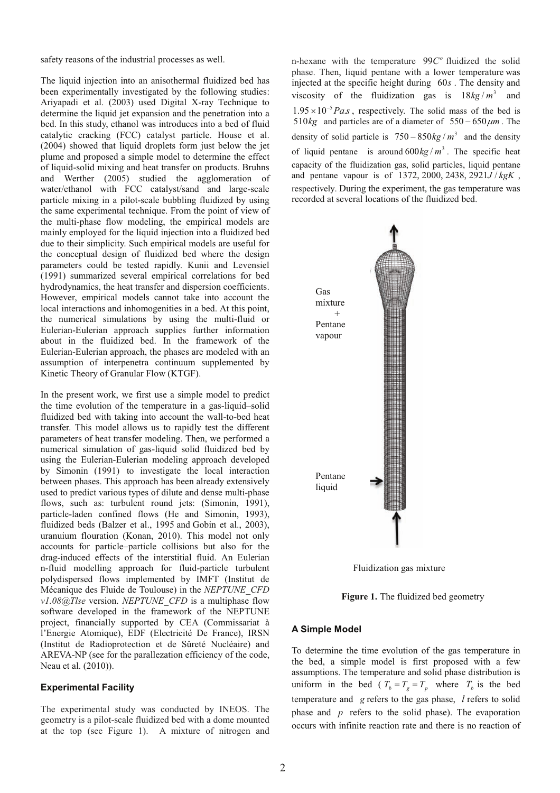safety reasons of the industrial processes as well.

The liquid injection into an anisothermal fluidized bed has been experimentally investigated by the following studies: Ariyapadi et al. (2003) used Digital X-ray Technique to determine the liquid jet expansion and the penetration into a bed. In this study, ethanol was introduces into a bed of fluid catalytic cracking (FCC) catalyst particle. House et al. (2004) showed that liquid droplets form just below the jet plume and proposed a simple model to determine the effect of liquid-solid mixing and heat transfer on products. Bruhns and Werther (2005) studied the agglomeration of water/ethanol with FCC catalyst/sand and large-scale particle mixing in a pilot-scale bubbling fluidized by using the same experimental technique. From the point of view of the multi-phase flow modeling, the empirical models are mainly employed for the liquid injection into a fluidized bed due to their simplicity. Such empirical models are useful for the conceptual design of fluidized bed where the design parameters could be tested rapidly. Kunii and Levensiel (1991) summarized several empirical correlations for bed hydrodynamics, the heat transfer and dispersion coefficients. However, empirical models cannot take into account the local interactions and inhomogenities in a bed. At this point, the numerical simulations by using the multi-fluid or Eulerian-Eulerian approach supplies further information about in the fluidized bed. In the framework of the Eulerian-Eulerian approach, the phases are modeled with an assumption of interpenetra continuum supplemented by Kinetic Theory of Granular Flow (KTGF).

In the present work, we first use a simple model to predict the time evolution of the temperature in a gas-liquid-solid fluidized bed with taking into account the wall-to-bed heat transfer. This model allows us to rapidly test the different parameters of heat transfer modeling. Then, we performed a numerical simulation of gas-liquid solid fluidized bed by using the Eulerian-Eulerian modeling approach developed by Simonin (1991) to investigate the local interaction between phases. This approach has been already extensively used to predict various types of dilute and dense multi-phase flows, such as: turbulent round jets: (Simonin, 1991), particle-laden confined flows (He and Simonin, 1993), fluidized beds (Balzer et al., 1995 and Gobin et al., 2003), uranuium flouration (Konan, 2010). This model not only accounts for particle-particle collisions but also for the drag-induced effects of the interstitial fluid. An Eulerian n-fluid modelling approach for fluid-particle turbulent polydispersed flows implemented by IMFT (Institut de Mécanique des Fluide de Toulouse) in the NEPTUNE CFD  $v1.08@Tlse$  version. NEPTUNE\_CFD is a multiphase flow software developed in the framework of the NEPTUNE project, financially supported by CEA (Commissariat à l'Energie Atomique), EDF (Electricité De France), IRSN (Institut de Radioprotection et de Sûreté Nucléaire) and AREVA-NP (see for the parallezation efficiency of the code, Neau et al. (2010)).

## **Experimental Facility**

The experimental study was conducted by INEOS. The geometry is a pilot-scale fluidized bed with a dome mounted at the top (see Figure 1). A mixture of nitrogen and n-hexane with the temperature  $99C<sup>o</sup>$  fluidized the solid phase. Then, liquid pentane with a lower temperature was injected at the specific height during  $60s$ . The density and viscosity of the fluidization gas is  $18kg/m^3$ and  $1.95 \times 10^{-5}$  Pa.s. respectively. The solid mass of the bed is 510kg and particles are of a diameter of  $550 - 650 \mu m$ . The density of solid particle is  $750-850kg/m^3$  and the density of liquid pentane is around  $600 \text{ kg}/m^3$ . The specific heat capacity of the fluidization gas, solid particles, liquid pentane and pentane vapour is of 1372, 2000, 2438,  $2921 \text{J} / \text{kgK}$ , respectively. During the experiment, the gas temperature was recorded at several locations of the fluidized bed.



Fluidization gas mixture

Figure 1. The fluidized bed geometry

### **A Simple Model**

To determine the time evolution of the gas temperature in the bed, a simple model is first proposed with a few assumptions. The temperature and solid phase distribution is uniform in the bed ( $T_b = T_a = T_n$ ) where  $T_b$  is the bed temperature and  $g$  refers to the gas phase,  $l$  refers to solid phase and  $p$  refers to the solid phase). The evaporation occurs with infinite reaction rate and there is no reaction of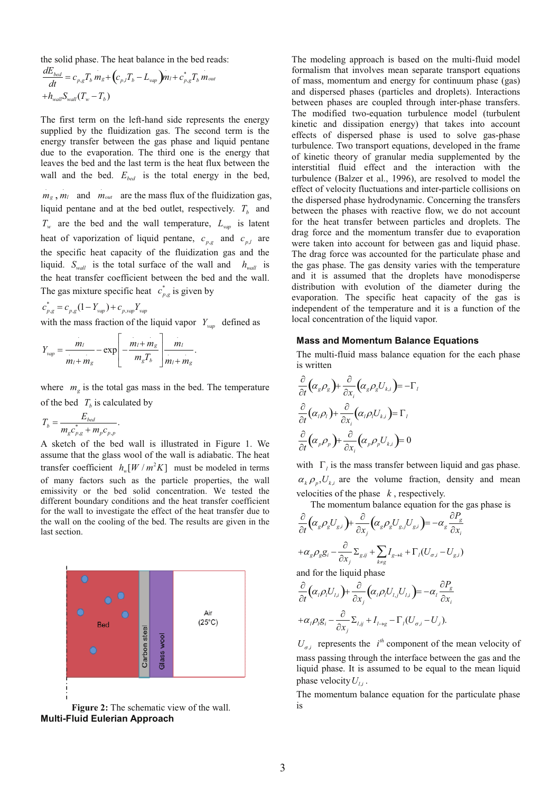the solid phase. The heat balance in the bed reads:

$$
\frac{dE_{bed}}{dt} = c_{p,g}T_b m_g + (c_{p,l}T_b - L_{vap})m_l + c_{p,g}^*T_b m_{out}
$$
  
+
$$
h_{wall}S_{wall}(T_w - T_b)
$$

The first term on the left-hand side represents the energy supplied by the fluidization gas. The second term is the energy transfer between the gas phase and liquid pentane due to the evaporation. The third one is the energy that leaves the bed and the last term is the heat flux between the wall and the bed.  $E_{bed}$  is the total energy in the bed,  $m_g$ ,  $m_l$  and  $m_{out}$  are the mass flux of the fluidization gas, liquid pentane and at the bed outlet, respectively.  $T<sub>b</sub>$  and  $T_{w}$  are the bed and the wall temperature,  $L_{vap}$  is latent heat of vaporization of liquid pentane,  $c_{p,g}$  and  $c_{p,l}$  are the specific heat capacity of the fluidization gas and the liquid.  $S_{wall}$  is the total surface of the wall and  $h_{wall}$  is the heat transfer coefficient between the bed and the wall. The gas mixture specific heat  $c_{p,q}^*$  is given by

 $c_{p,g}^* = c_{p,g} (1 - Y_{vap}) + c_{p,vap} Y_{vap}$ 

with the mass fraction of the liquid vapor  $Y_{vap}$  defined as

$$
Y_{vap} = \frac{m_l}{m_l + m_g} - \exp\left[-\frac{m_l + m_g}{m_g T_b}\right]\frac{m_l}{m_l + m_g}
$$

where  $m_g$  is the total gas mass in the bed. The temperature of the bed  $T<sub>b</sub>$  is calculated by

$$
T_b = \frac{E_{bed}}{m_g c_{p,g}^* + m_p c_{p,p}}.
$$

A sketch of the bed wall is illustrated in Figure 1. We assume that the glass wool of the wall is adiabatic. The heat transfer coefficient  $h_w[W/m^2K]$  must be modeled in terms of many factors such as the particle properties, the wall emissivity or the bed solid concentration. We tested the different boundary conditions and the heat transfer coefficient for the wall to investigate the effect of the heat transfer due to the wall on the cooling of the bed. The results are given in the last section.



Figure 2: The schematic view of the wall. **Multi-Fluid Eulerian Approach** 

The modeling approach is based on the multi-fluid model formalism that involves mean separate transport equations of mass, momentum and energy for continuum phase (gas) and dispersed phases (particles and droplets). Interactions between phases are coupled through inter-phase transfers. The modified two-equation turbulence model (turbulent kinetic and dissipation energy) that takes into account effects of dispersed phase is used to solve gas-phase turbulence. Two transport equations, developed in the frame of kinetic theory of granular media supplemented by the interstitial fluid effect and the interaction with the turbulence (Balzer et al., 1996), are resolved to model the effect of velocity fluctuations and inter-particle collisions on the dispersed phase hydrodynamic. Concerning the transfers between the phases with reactive flow, we do not account for the heat transfer between particles and droplets. The drag force and the momentum transfer due to evaporation were taken into account for between gas and liquid phase. The drag force was accounted for the particulate phase and the gas phase. The gas density varies with the temperature and it is assumed that the droplets have monodisperse distribution with evolution of the diameter during the evaporation. The specific heat capacity of the gas is independent of the temperature and it is a function of the local concentration of the liquid vapor.

#### **Mass and Momentum Balance Equations**

The multi-fluid mass balance equation for the each phase is written

$$
\frac{\partial}{\partial t} \left( \alpha_g \rho_g \right) + \frac{\partial}{\partial x_i} \left( \alpha_g \rho_g U_{k,i} \right) = -\Gamma_i
$$
\n
$$
\frac{\partial}{\partial t} \left( \alpha_i \rho_i \right) + \frac{\partial}{\partial x_i} \left( \alpha_i \rho_i U_{k,i} \right) = \Gamma_i
$$
\n
$$
\frac{\partial}{\partial t} \left( \alpha_p \rho_p \right) + \frac{\partial}{\partial x_i} \left( \alpha_p \rho_p U_{k,i} \right) = 0
$$

with  $\Gamma_i$  is the mass transfer between liquid and gas phase.  $\alpha_k \rho_n U_{k,i}$  are the volume fraction, density and mean velocities of the phase  $k$ , respectively.

The momentum balance equation for the gas phase is

$$
\frac{\partial}{\partial t} \left( \alpha_g \rho_g U_{g,i} \right) + \frac{\partial}{\partial x_j} \left( \alpha_g \rho_g U_{g,j} U_{g,i} \right) = -\alpha_g \frac{\partial P_g}{\partial x_i}
$$
\n
$$
+ \alpha_g \rho_g g_i - \frac{\partial}{\partial x_j} \Sigma_{g,j} + \sum_{k \neq g} I_{g \to k} + \Gamma_i (U_{\sigma,i} - U_{g,i})
$$
\nand for the liquid phase\n
$$
\frac{\partial}{\partial t} \left( \alpha_g U_{g,i} \right) + \frac{\partial}{\partial t} \left( \alpha_g U_{g,i} U_{g,i} \right) = -\alpha_g \frac{\partial P_g}{\partial x_g}
$$

$$
\frac{\partial}{\partial t}(\alpha_i \rho_i U_{l,i}) + \frac{\partial}{\partial x_j}(\alpha_i \rho_l U_{l,j} U_{l,i}) = -\alpha_i \frac{\partial P_g}{\partial x_i} \n+ \alpha_l \rho_l g_i - \frac{\partial}{\partial x_j} \Sigma_{l,ij} + I_{l \to g} - \Gamma_l (U_{\sigma,i} - U_{,i}).
$$

 $U_{\sigma i}$  represents the  $i^{th}$  component of the mean velocity of mass passing through the interface between the gas and the liquid phase. It is assumed to be equal to the mean liquid phase velocity  $U_{i}$ .

The momentum balance equation for the particulate phase is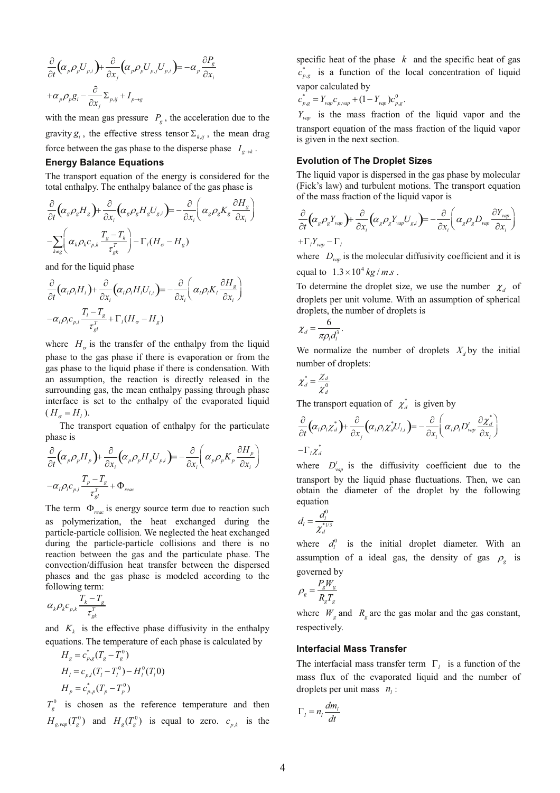$$
\frac{\partial}{\partial t} \left( \alpha_p \rho_p U_{p,i} \right) + \frac{\partial}{\partial x_j} \left( \alpha_p \rho_p U_{p,j} U_{p,i} \right) = -\alpha_p \frac{\partial P_g}{\partial x_i}
$$

$$
+ \alpha_p \rho_p g_i - \frac{\partial}{\partial x_j} \Sigma_{p,ij} + I_{p \to g}
$$

with the mean gas pressure  $P_{\varphi}$ , the acceleration due to the gravity  $g_i$ , the effective stress tensor  $\Sigma_{k,ij}$ , the mean drag force between the gas phase to the disperse phase  $I_{g \to k}$ .

#### **Energy Balance Equations**

The transport equation of the energy is considered for the total enthalpy. The enthalpy balance of the gas phase is

$$
\frac{\partial}{\partial t} \left( \alpha_g \rho_g H_g \right) + \frac{\partial}{\partial x_i} \left( \alpha_g \rho_g H_g U_{g,i} \right) = -\frac{\partial}{\partial x_i} \left( \alpha_g \rho_g K_g \frac{\partial H_g}{\partial x_i} \right)
$$
\n
$$
- \sum_{k \neq g} \left( \alpha_k \rho_k c_{p,k} \frac{T_g - T_k}{\tau_{g,k}^T} \right) - \Gamma_i (H_\sigma - H_g)
$$

and for the liquid phase

$$
\frac{\partial}{\partial t}(\alpha_{i}\rho_{i}H_{i}) + \frac{\partial}{\partial x_{i}}(\alpha_{i}\rho_{i}H_{i}U_{i,i}) = -\frac{\partial}{\partial x_{i}}\left(\alpha_{i}\rho_{i}K_{i}\frac{\partial H_{g}}{\partial x_{i}}\right)
$$

$$
-\alpha_{i}\rho_{i}C_{p,i}\frac{T_{i}-T_{g}}{\tau_{g}^{T}} + \Gamma_{i}(H_{\sigma}-H_{g})
$$

where  $H_{\sigma}$  is the transfer of the enthalpy from the liquid phase to the gas phase if there is evaporation or from the gas phase to the liquid phase if there is condensation. With an assumption, the reaction is directly released in the surrounding gas, the mean enthalpy passing through phase interface is set to the enthalpy of the evaporated liquid  $(H_{\sigma} = H_{\iota}).$ 

The transport equation of enthalpy for the particulate phase is

$$
\frac{\partial}{\partial t} \left( \alpha_p \rho_p H_p \right) + \frac{\partial}{\partial x_i} \left( \alpha_p \rho_p H_p U_{p,i} \right) = -\frac{\partial}{\partial x_i} \left( \alpha_p \rho_p K_p \frac{\partial H_p}{\partial x_i} \right)
$$

$$
- \alpha_i \rho_i c_{p,i} \frac{T_p - T_g}{\tau_{gl}^T} + \Phi_{reac}
$$

The term  $\Phi_{\text{reac}}$  is energy source term due to reaction such as polymerization, the heat exchanged during the particle-particle collision. We neglected the heat exchanged during the particle-particle collisions and there is no reaction between the gas and the particulate phase. The convection/diffusion heat transfer between the dispersed phases and the gas phase is modeled according to the following term:

$$
\alpha_k \rho_k c_{p,k} \frac{T_k-T_g}{\tau_{gk}^T}
$$

and  $K_k$  is the effective phase diffusivity in the enthalpy equations. The temperature of each phase is calculated by

$$
H_g = c_{p,g}(T_g - T_g^0)
$$
  
\n
$$
H_l = c_{p,l}(T_l - T_l^0) - H_l^0(T_l^0)
$$
  
\n
$$
H_p = c_{p,p}^*(T_p - T_p^0)
$$

 $T_e^0$  is chosen as the reference temperature and then  $H_{g,vap}(T_g^0)$  and  $H_g(T_g^0)$  is equal to zero.  $c_{p,k}$  is the specific heat of the phase  $k$  and the specific heat of gas  $c_{p,q}^*$  is a function of the local concentration of liquid vapor calculated by

 $c_{p,g}^* = Y_{vap} c_{p,vap} + (1 - Y_{vap}) c_{p,g}^0$ .

 $Y_{\text{var}}$  is the mass fraction of the liquid vapor and the transport equation of the mass fraction of the liquid vapor is given in the next section.

## **Evolution of The Droplet Sizes**

The liquid vapor is dispersed in the gas phase by molecular (Fick's law) and turbulent motions. The transport equation of the mass fraction of the liquid vapor is

$$
\frac{\partial}{\partial t}(\alpha_g \rho_g Y_{vap}) + \frac{\partial}{\partial x_i}(\alpha_g \rho_g Y_{vap} U_{g,i}) = -\frac{\partial}{\partial x_i}(\alpha_g \rho_g D_{vap} \frac{\partial Y_{vap}}{\partial x_i}) + \Gamma_i Y_{vap} - \Gamma_i
$$

where  $D_{vap}$  is the molecular diffusivity coefficient and it is equal to  $1.3 \times 10^4$  kg/m.s.

To determine the droplet size, we use the number  $\chi_d$  of droplets per unit volume. With an assumption of spherical droplets, the number of droplets is

$$
\chi_d = \frac{6}{\pi \rho_i d_i^3}.
$$

We normalize the number of droplets  $X_d$  by the initial number of droplets:

$$
\chi_d^* = \frac{\chi_d}{\chi_d^0}
$$

The transport equation of  $\chi_d^*$  is given by

$$
\frac{\partial}{\partial t}(\alpha_i \rho_i \chi_d^*) + \frac{\partial}{\partial x_j}(\alpha_i \rho_i \chi_d^* U_{l,i}) = -\frac{\partial}{\partial x_i}(\alpha_i \rho_l D'_{vap} \frac{\partial \chi_d^*}{\partial x_i})
$$
  
- $\Gamma_l \chi_d^*$ 

where  $D'_{vap}$  is the diffusivity coefficient due to the transport by the liquid phase fluctuations. Then, we can obtain the diameter of the droplet by the following equation

$$
d_{l}=\frac{d_{l}^{0}}{\chi_{d}^{*_{1/3}}}
$$

where  $d_i^0$  is the initial droplet diameter. With an assumption of a ideal gas, the density of gas  $\rho_{g}$  is governed by

$$
\rho_g = \frac{P_g W_g}{R_g T_g}
$$

where  $W_g$  and  $R_g$  are the gas molar and the gas constant, respectively.

### **Interfacial Mass Transfer**

The interfacial mass transfer term  $\Gamma_i$  is a function of the mass flux of the evaporated liquid and the number of droplets per unit mass  $n_i$ :

$$
\Gamma_l = n_l \frac{dm_l}{dt}
$$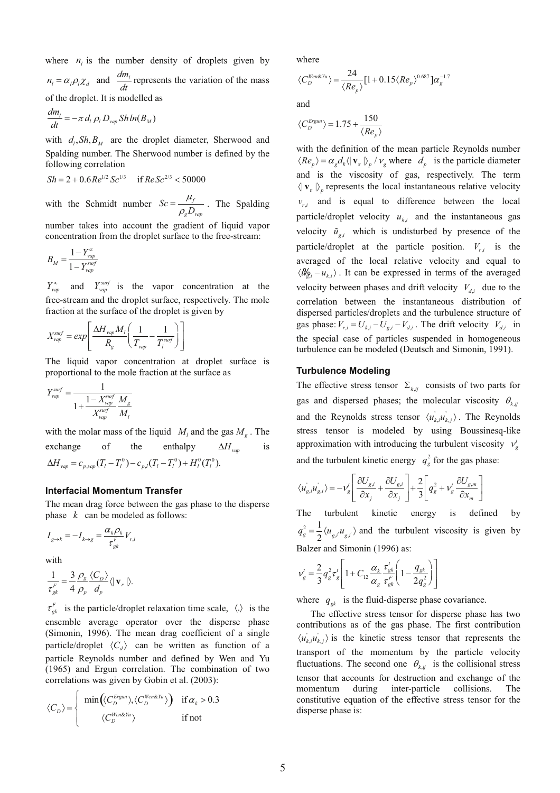where  $n_i$  is the number density of droplets given by  $n_i = \alpha_i \rho_i \chi_d$  and  $\frac{dm_i}{dt}$  represents the variation of the mass of the droplet. It is modelled as

$$
\frac{dm_1}{dt} = -\pi d_1 \rho_1 D_{vap} Shln(B_M)
$$

with  $d_i$ , Sh,  $B_M$  are the droplet diameter, Sherwood and Spalding number. The Sherwood number is defined by the following correlation

$$
Sh = 2 + 0.6 Re^{1/2} Sc^{1/3}
$$
 if  $ReSc^{2/3} < 50000$ 

with the Schmidt number  $Sc = \frac{\mu_f}{\rho_g D_{vap}}$ . The Spalding

number takes into account the gradient of liquid vapor concentration from the droplet surface to the free-stream:

$$
B_M = \frac{1 - Y_{vap}^{\alpha}}{1 - Y_{vap}^{surf}}
$$

 $Y_{vap}^{\alpha}$  and  $Y_{vap}^{surf}$  is the vapor concentration at the free-stream and the droplet surface, respectively. The mole fraction at the surface of the droplet is given by

$$
X_{vap}^{surf} = exp\left[\frac{\Delta H_{vap} M_{I}}{R_{g}} \left(\frac{1}{T_{vap}} - \frac{1}{T_{I}^{surf}}\right)\right]
$$

The liquid vapor concentration at droplet surface is proportional to the mole fraction at the surface as

$$
Y_{vap}^{surf} = \frac{1}{1 + \frac{1 - X_{vap}^{surf}}{X_{vap}^{surf}} \frac{M_g}{M_l}}
$$

with the molar mass of the liquid  $M_i$  and the gas  $M_{\sigma}$ . The  $\Delta H_{vap}$ exchange of the enthalpy is  $\Delta H_{vap} = c_{n,vap}(T_l - T_l^0) - c_{n,l}(T_l - T_l^0) + H_l^0(T_l^0).$ 

#### **Interfacial Momentum Transfer**

The mean drag force between the gas phase to the disperse phase  $k$  can be modeled as follows:

$$
I_{g \to k} = -I_{k \to g} = \frac{\alpha_k \rho_k}{\tau_{gk}^F} V_{r,k}
$$

with

$$
\frac{1}{\tau_{gk}^F} = \frac{3}{4} \frac{\rho_g}{\rho_p} \frac{\langle C_D \rangle}{d_p} \langle \mid \mathbf{v}_r \mid \rangle.
$$

 $\tau_{gk}^F$  is the particle/droplet relaxation time scale,  $\langle . \rangle$  is the ensemble average operator over the disperse phase (Simonin, 1996). The mean drag coefficient of a single particle/droplet  $\langle C_a \rangle$  can be written as function of a particle Reynolds number and defined by Wen and Yu (1965) and Ergun correlation. The combination of two correlations was given by Gobin et al. (2003):

$$
\langle C_D \rangle = \begin{cases} \min\Bigl(\langle C_D^{Ergun} \rangle, \langle C_D^{Wen\&Yu} \rangle\Bigr) & \text{if } \alpha_k > 0.3\\ \langle C_D^{Wen\&Vu} \rangle & \text{if not} \end{cases}
$$

where

$$
\langle C_{D}^{Wen\&Yu}\rangle=\frac{24}{\langle Re_{p}\rangle}[1+0.15\langle Re_{p}\rangle^{0.687}]\alpha_{g}^{-1.7}
$$

and

$$
\langle C_D^{Ergun} \rangle = 1.75 + \frac{150}{\langle Re_p \rangle}
$$

with the definition of the mean particle Reynolds number  $\langle Re_p \rangle = \alpha_g d_k \langle \mathbf{v_r} \rangle_p / v_g$  where  $d_p$  is the particle diameter and is the viscosity of gas, respectively. The term  $\langle \mathbf{v}_r | \rangle$  represents the local instantaneous relative velocity  $v_{r,i}$  and is equal to difference between the local particle/droplet velocity  $u_{ki}$  and the instantaneous gas velocity  $\tilde{u}_{g,i}$  which is undisturbed by presence of the particle/droplet at the particle position.  $V_{r,i}$  is the averaged of the local relative velocity and equal to  $\langle \partial_{g_i}^b - u_{k,i} \rangle$ . It can be expressed in terms of the averaged velocity between phases and drift velocity  $V_{d,i}$  due to the correlation between the instantaneous distribution of dispersed particles/droplets and the turbulence structure of gas phase:  $V_{r,i} = U_{k,i} - U_{g,i} - V_{d,i}$ . The drift velocity  $V_{d,i}$  in the special case of particles suspended in homogeneous turbulence can be modeled (Deutsch and Simonin, 1991).

#### **Turbulence Modeling**

The effective stress tensor  $\Sigma_{k,ii}$  consists of two parts for gas and dispersed phases; the molecular viscosity  $\theta_{k,i}$ and the Reynolds stress tensor  $\langle u_{k,i}^{\dagger} u_{k,i}^{\dagger} \rangle$ . The Reynolds stress tensor is modeled by using Boussinesq-like approximation with introducing the turbulent viscosity  $v_a^t$ and the turbulent kinetic energy  $q_g^2$  for the gas phase:

$$
\langle u_{g,i} u_{g,i} \rangle = -\nu_g' \left[ \frac{\partial U_{g,i}}{\partial x_j} + \frac{\partial U_{g,i}}{\partial x_j} \right] + \frac{2}{3} \left[ q_g^2 + \nu_g' \frac{\partial U_{g,m}}{\partial x_m} \right]
$$

The turbulent kinetic defined by energy is  $q_g^2 = \frac{1}{2} \langle u_{g,i} u_{g,i} \rangle$  and the turbulent viscosity is given by Balzer and Simonin (1996) as:

$$
v'_{g} = \frac{2}{3} q_{g}^{2} \tau_{g}^{l} \left[ 1 + C_{12} \frac{\alpha_{k}}{\alpha_{g}} \frac{\tau_{g k}^{l}}{\tau_{g k}^{F}} \left( 1 - \frac{q_{g k}}{2 q_{g}^{2}} \right) \right]
$$

where  $q_{ek}$  is the fluid-disperse phase covariance.

The effective stress tensor for disperse phase has two contributions as of the gas phase. The first contribution  $\langle u_{k,i} u_{k,i} \rangle$  is the kinetic stress tensor that represents the transport of the momentum by the particle velocity fluctuations. The second one  $\theta_{k,ii}$  is the collisional stress tensor that accounts for destruction and exchange of the during inter-particle collisions. momentum The constitutive equation of the effective stress tensor for the disperse phase is: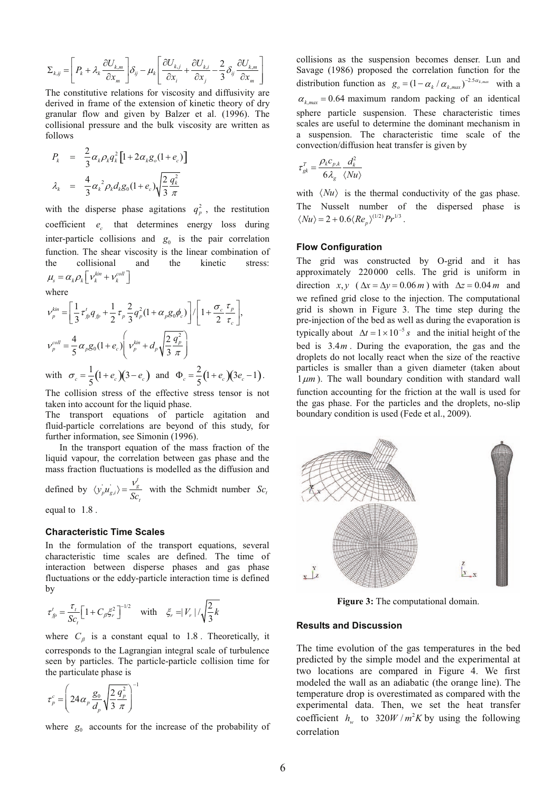$$
\Sigma_{k,ij} = \left[ P_k + \lambda_k \frac{\partial U_{k,m}}{\partial x_m} \right] \delta_{ij} - \mu_k \left[ \frac{\partial U_{k,j}}{\partial x_i} + \frac{\partial U_{k,i}}{\partial x_j} - \frac{2}{3} \delta_{ij} \frac{\partial U_{k,m}}{\partial x_m} \right]
$$

The constitutive relations for viscosity and diffusivity are derived in frame of the extension of kinetic theory of dry granular flow and given by Balzer et al. (1996). The collisional pressure and the bulk viscosity are written as follows

$$
P_k = \frac{2}{3} \alpha_k \rho_k q_k^2 \left[ 1 + 2 \alpha_k g_o (1 + e_c) \right]
$$
  

$$
\lambda_k = \frac{4}{3} \alpha_k^2 \rho_k d_k g_0 (1 + e_c) \sqrt{\frac{2}{3} \frac{q_k^2}{\pi}}
$$

with the disperse phase agitations  $q_p^2$ , the restitution coefficient  $e_c$  that determines energy loss during inter-particle collisions and  $g_0$  is the pair correlation function. The shear viscosity is the linear combination of the collisional and the kinetic stress:  $\mu_{\rm s} = \alpha_{\rm k} \rho_{\rm k} \left[ \nu_{\rm k}^{\rm kin} + \nu_{\rm k}^{\rm coll} \right]$ 

where

$$
\nu_p^{kin} = \left[ \frac{1}{3} \tau_{fp}^t q_{fp} + \frac{1}{2} \tau_p \frac{2}{3} q_p^2 (1 + \alpha_p g_0 \phi_c) \right] / \left[ 1 + \frac{\sigma_c}{2} \frac{\tau_p}{\tau_c} \right],
$$
  

$$
\nu_p^{coll} = \frac{4}{5} \alpha_p g_0 (1 + e_c) \left( \nu_p^{kin} + d_p \sqrt{\frac{2}{3} \frac{q_p^2}{\pi}} \right)
$$

with  $\sigma_c = \frac{1}{5}(1+e_c)(3-e_c)$  and  $\Phi_c = \frac{2}{5}(1+e_c)(3e_c-1)$ . The collision stress of the effective stress tensor is not

taken into account for the liquid phase. The transport equations of particle agitation and fluid-particle correlations are beyond of this study, for further information, see Simonin (1996).

In the transport equation of the mass fraction of the liquid vapour, the correlation between gas phase and the mass fraction fluctuations is modelled as the diffusion and

defined by  $\langle y_p u_{g,i}^{\dagger} \rangle = \frac{v_g^{\prime}}{Sc}$  with the Schmidt number  $Sc_i$ 

equal to 1.8.

## **Characteristic Time Scales**

In the formulation of the transport equations, several characteristic time scales are defined. The time of interaction between disperse phases and gas phase fluctuations or the eddy-particle interaction time is defined by

$$
\tau'_{fp} = \frac{\tau_t}{Sc_t} \Big[ 1 + C_\beta \xi_r^2 \Big]^{-1/2} \quad \text{with} \quad \xi_r = |V_r| / \sqrt{\frac{2}{3}k}
$$

where  $C_{\beta}$  is a constant equal to 1.8. Theoretically, it corresponds to the Lagrangian integral scale of turbulence seen by particles. The particle-particle collision time for the particulate phase is

$$
\tau_p^c = \left(24\alpha_p \frac{g_0}{d_p} \sqrt{\frac{2}{3} \frac{q_p^2}{\pi}}\right)^{-1}
$$

where  $g_0$  accounts for the increase of the probability of

collisions as the suspension becomes denser. Lun and Savage (1986) proposed the correlation function for the distribution function as  $g_o = (1 - \alpha_k / \alpha_{k,max})^{-2.5 \alpha_{k,max}}$  with a  $\alpha_{k,max} = 0.64$  maximum random packing of an identical sphere particle suspension. These characteristic times scales are useful to determine the dominant mechanism in a suspension. The characteristic time scale of the convection/diffusion heat transfer is given by

$$
\tau_{gk}^T = \frac{\rho_k c_{p,k}}{6\lambda_g} \frac{d_k^2}{\langle Nu \rangle}
$$

with  $\langle Nu \rangle$  is the thermal conductivity of the gas phase. The Nusselt number of the dispersed phase is  $\langle Nu \rangle = 2 + 0.6 \langle Re_n \rangle^{(1/2)} Pr^{1/3}$ .

## **Flow Configuration**

The grid was constructed by O-grid and it has approximately 220000 cells. The grid is uniform in direction x, v  $(\Delta x = \Delta y = 0.06 \text{ m})$  with  $\Delta z = 0.04 \text{ m}$  and we refined grid close to the injection. The computational grid is shown in Figure 3. The time step during the pre-injection of the bed as well as during the evaporation is typically about  $\Delta t = 1 \times 10^{-5} s$  and the initial height of the bed is  $3.4m$ . During the evaporation, the gas and the droplets do not locally react when the size of the reactive particles is smaller than a given diameter (taken about  $1 \mu m$ ). The wall boundary condition with standard wall function accounting for the friction at the wall is used for the gas phase. For the particles and the droplets, no-slip boundary condition is used (Fede et al., 2009).



Figure 3: The computational domain.

#### **Results and Discussion**

The time evolution of the gas temperatures in the bed predicted by the simple model and the experimental at two locations are compared in Figure 4. We first modeled the wall as an adiabatic (the orange line). The temperature drop is overestimated as compared with the experimental data. Then, we set the heat transfer coefficient  $h_w$  to 320W /  $m^2 K$  by using the following correlation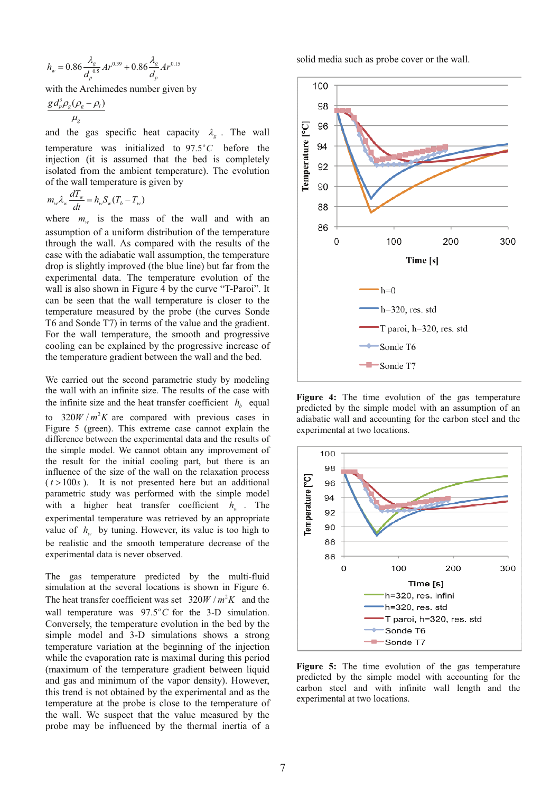$$
h_w = 0.86 \frac{\lambda_g}{d_p^{0.5}} Ar^{0.39} + 0.86 \frac{\lambda_g}{d_p} Ar^{0.15}
$$

with the Archimedes number given by

$$
\frac{gd_p^3\rho_g(\rho_g-\rho_l)}{\mu_g}
$$

and the gas specific heat capacity  $\lambda_g$ . The wall temperature was initialized to  $97.5^{\circ}$ C before the injection (it is assumed that the bed is completely isolated from the ambient temperature). The evolution of the wall temperature is given by

$$
m_{w}\lambda_{w}\frac{dT_{w}}{dt}=h_{w}S_{w}(T_{b}-T_{w})
$$

where  $m_{w}$  is the mass of the wall and with an assumption of a uniform distribution of the temperature through the wall. As compared with the results of the case with the adiabatic wall assumption, the temperature drop is slightly improved (the blue line) but far from the experimental data. The temperature evolution of the wall is also shown in Figure 4 by the curve "T-Paroi". It can be seen that the wall temperature is closer to the temperature measured by the probe (the curves Sonde T6 and Sonde T7) in terms of the value and the gradient. For the wall temperature, the smooth and progressive cooling can be explained by the progressive increase of the temperature gradient between the wall and the bed.

We carried out the second parametric study by modeling the wall with an infinite size. The results of the case with the infinite size and the heat transfer coefficient  $h<sub>h</sub>$  equal to  $320W/m^2K$  are compared with previous cases in Figure 5 (green). This extreme case cannot explain the difference between the experimental data and the results of the simple model. We cannot obtain any improvement of the result for the initial cooling part, but there is an influence of the size of the wall on the relaxation process  $(t > 100s)$ . It is not presented here but an additional parametric study was performed with the simple model with a higher heat transfer coefficient  $h_w$ . The experimental temperature was retrieved by an appropriate value of  $h_w$  by tuning. However, its value is too high to be realistic and the smooth temperature decrease of the experimental data is never observed.

The gas temperature predicted by the multi-fluid simulation at the several locations is shown in Figure 6. The heat transfer coefficient was set  $320W/m^2K$  and the wall temperature was  $97.5^{\circ}$ C for the 3-D simulation. Conversely, the temperature evolution in the bed by the simple model and 3-D simulations shows a strong temperature variation at the beginning of the injection while the evaporation rate is maximal during this period (maximum of the temperature gradient between liquid and gas and minimum of the vapor density). However, this trend is not obtained by the experimental and as the temperature at the probe is close to the temperature of the wall. We suspect that the value measured by the probe may be influenced by the thermal inertia of a solid media such as probe cover or the wall.



Figure 4: The time evolution of the gas temperature predicted by the simple model with an assumption of an adiabatic wall and accounting for the carbon steel and the experimental at two locations.



Figure 5: The time evolution of the gas temperature predicted by the simple model with accounting for the carbon steel and with infinite wall length and the experimental at two locations.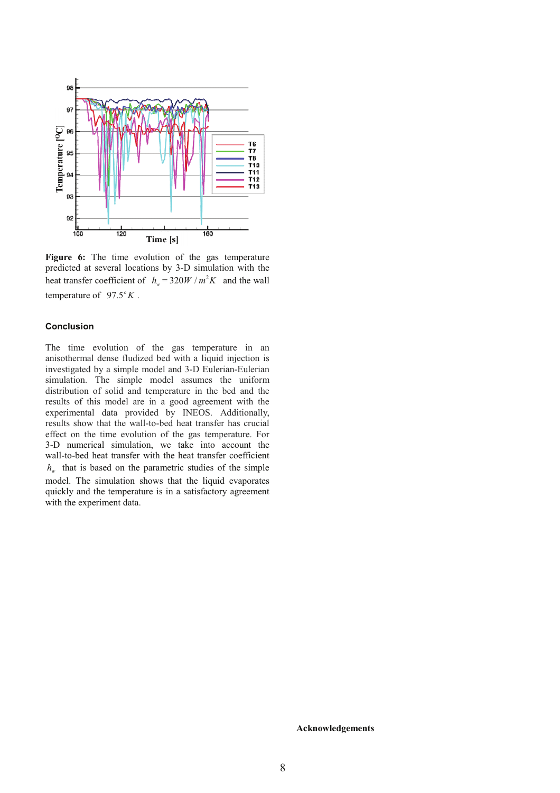

Figure 6: The time evolution of the gas temperature predicted at several locations by 3-D simulation with the heat transfer coefficient of  $h_w = 320W/m^2K$  and the wall temperature of  $97.5^{\circ} K$ .

## Conclusion

The time evolution of the gas temperature in an anisothermal dense fludized bed with a liquid injection is investigated by a simple model and 3-D Eulerian-Eulerian simulation. The simple model assumes the uniform distribution of solid and temperature in the bed and the results of this model are in a good agreement with the experimental data provided by INEOS. Additionally, results show that the wall-to-bed heat transfer has crucial effect on the time evolution of the gas temperature. For 3-D numerical simulation, we take into account the wall-to-bed heat transfer with the heat transfer coefficient  $h_{w}$  that is based on the parametric studies of the simple model. The simulation shows that the liquid evaporates quickly and the temperature is in a satisfactory agreement with the experiment data.

**Acknowledgements** 

8